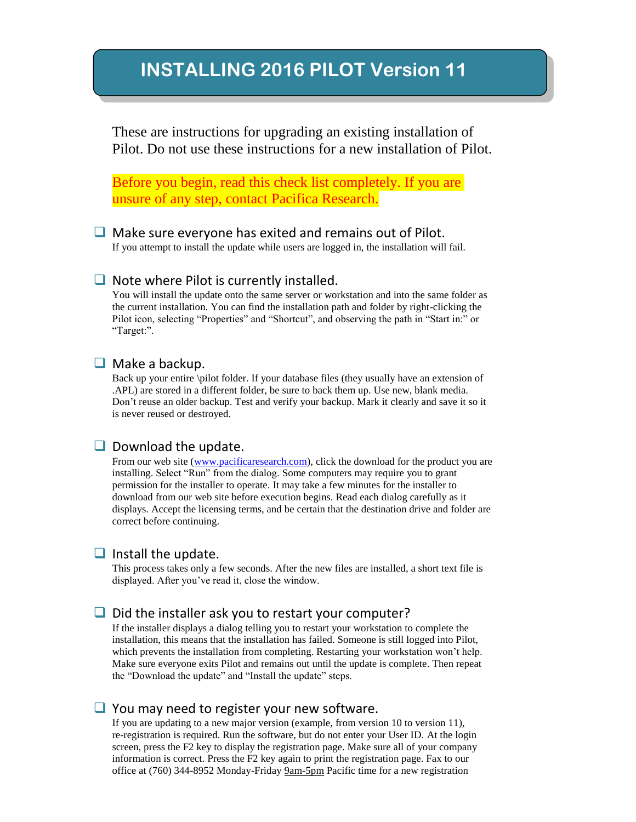# **INSTALLING 2016 PILOT Version 11**

These are instructions for upgrading an existing installation of Pilot. Do not use these instructions for a new installation of Pilot.

Before you begin, read this check list completely. If you are unsure of any step, contact Pacifica Research.

#### $\Box$  Make sure everyone has exited and remains out of Pilot.

If you attempt to install the update while users are logged in, the installation will fail.

#### $\Box$  Note where Pilot is currently installed.

You will install the update onto the same server or workstation and into the same folder as the current installation. You can find the installation path and folder by right-clicking the Pilot icon, selecting "Properties" and "Shortcut", and observing the path in "Start in:" or "Target:".

#### $\Box$  Make a backup.

Back up your entire \pilot folder. If your database files (they usually have an extension of .APL) are stored in a different folder, be sure to back them up. Use new, blank media. Don't reuse an older backup. Test and verify your backup. Mark it clearly and save it so it is never reused or destroyed.

#### $\Box$  Download the update.

From our web site [\(www.pacificaresearch.com\)](http://www.pacificaresearch.com/), click the download for the product you are installing. Select "Run" from the dialog. Some computers may require you to grant permission for the installer to operate. It may take a few minutes for the installer to download from our web site before execution begins. Read each dialog carefully as it displays. Accept the licensing terms, and be certain that the destination drive and folder are correct before continuing.

#### $\Box$  Install the update.

This process takes only a few seconds. After the new files are installed, a short text file is displayed. After you've read it, close the window.

#### $\Box$  Did the installer ask you to restart your computer?

If the installer displays a dialog telling you to restart your workstation to complete the installation, this means that the installation has failed. Someone is still logged into Pilot, which prevents the installation from completing. Restarting your workstation won't help. Make sure everyone exits Pilot and remains out until the update is complete. Then repeat the "Download the update" and "Install the update" steps.

#### $\Box$  You may need to register your new software.

If you are updating to a new major version (example, from version 10 to version 11), re-registration is required. Run the software, but do not enter your User ID. At the login screen, press the F2 key to display the registration page. Make sure all of your company information is correct. Press the F2 key again to print the registration page. Fax to our office at (760) 344-8952 Monday-Friday 9am-5pm Pacific time for a new registration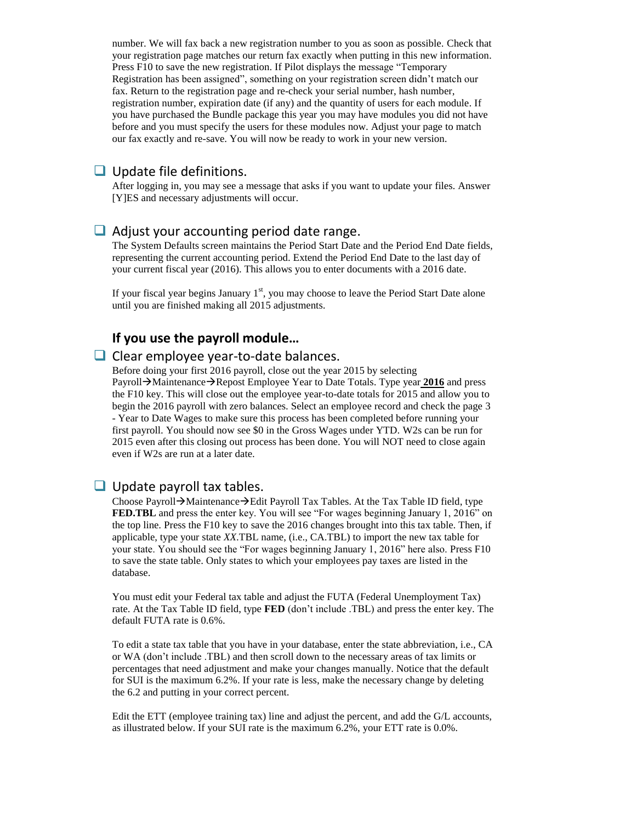number. We will fax back a new registration number to you as soon as possible. Check that your registration page matches our return fax exactly when putting in this new information. Press F10 to save the new registration. If Pilot displays the message "Temporary Registration has been assigned", something on your registration screen didn't match our fax. Return to the registration page and re-check your serial number, hash number, registration number, expiration date (if any) and the quantity of users for each module. If you have purchased the Bundle package this year you may have modules you did not have before and you must specify the users for these modules now. Adjust your page to match our fax exactly and re-save. You will now be ready to work in your new version.

#### $\Box$  Update file definitions.

After logging in, you may see a message that asks if you want to update your files. Answer [Y]ES and necessary adjustments will occur.

#### $\Box$  Adjust your accounting period date range.

The System Defaults screen maintains the Period Start Date and the Period End Date fields, representing the current accounting period. Extend the Period End Date to the last day of your current fiscal year (2016). This allows you to enter documents with a 2016 date.

If your fiscal year begins January  $1<sup>st</sup>$ , you may choose to leave the Period Start Date alone until you are finished making all 2015 adjustments.

## **If you use the payroll module…**

#### $\Box$  Clear employee year-to-date balances.

Before doing your first 2016 payroll, close out the year 2015 by selecting Payroll  $\rightarrow$  Maintenance  $\rightarrow$  Repost Employee Year to Date Totals. Type year **2016** and press the F10 key. This will close out the employee year-to-date totals for 2015 and allow you to begin the 2016 payroll with zero balances. Select an employee record and check the page 3 - Year to Date Wages to make sure this process has been completed before running your first payroll. You should now see \$0 in the Gross Wages under YTD. W2s can be run for 2015 even after this closing out process has been done. You will NOT need to close again even if W2s are run at a later date.

#### $\Box$  Update payroll tax tables.

Choose Payroll $\rightarrow$ Maintenance $\rightarrow$ Edit Payroll Tax Tables. At the Tax Table ID field, type FED.TBL and press the enter key. You will see "For wages beginning January 1, 2016" on the top line. Press the F10 key to save the 2016 changes brought into this tax table. Then, if applicable, type your state *XX*.TBL name, (i.e., CA.TBL) to import the new tax table for your state. You should see the "For wages beginning January 1, 2016" here also. Press F10 to save the state table. Only states to which your employees pay taxes are listed in the database.

You must edit your Federal tax table and adjust the FUTA (Federal Unemployment Tax) rate. At the Tax Table ID field, type **FED** (don't include .TBL) and press the enter key. The default FUTA rate is 0.6%.

To edit a state tax table that you have in your database, enter the state abbreviation, i.e., CA or WA (don't include .TBL) and then scroll down to the necessary areas of tax limits or percentages that need adjustment and make your changes manually. Notice that the default for SUI is the maximum 6.2%. If your rate is less, make the necessary change by deleting the 6.2 and putting in your correct percent.

Edit the ETT (employee training tax) line and adjust the percent, and add the G/L accounts, as illustrated below. If your SUI rate is the maximum 6.2%, your ETT rate is 0.0%.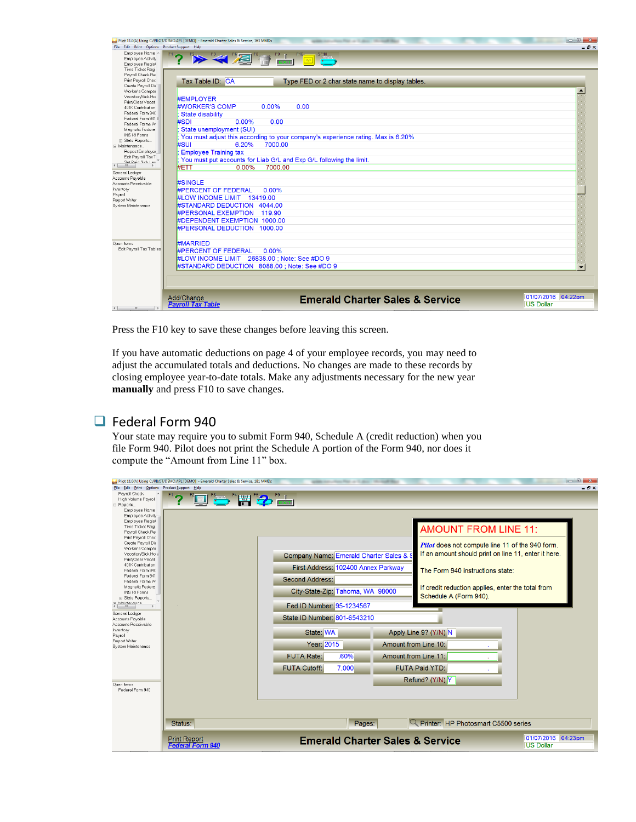

Press the F10 key to save these changes before leaving this screen.

If you have automatic deductions on page 4 of your employee records, you may need to adjust the accumulated totals and deductions. No changes are made to these records by closing employee year-to-date totals. Make any adjustments necessary for the new year **manually** and press F10 to save changes.

## **E** Federal Form 940

Your state may require you to submit Form 940, Schedule A (credit reduction) when you file Form 940. Pilot does not print the Schedule A portion of the Form 940, nor does it compute the "Amount from Line 11" box.

| File Edit Print Options Product Support Help<br>- 8 x<br>Payroll Check<br><u>" g " m " 2 " </u><br>High Volume Payroll<br><b>□ Reports</b><br>Employee Name<br>Employee Activity<br>Employee Regist<br>Time Ticket Regi<br><b>AMOUNT FROM LINE 11:</b><br>Payroll Check Re<br>Print Payroll Chec<br>Create Payroll Dir<br>Pilot does not compute line 11 of the 940 form.<br>Worker's Comper<br>If an amount should print on line 11, enter it here.<br>Vacation/Sick Ho :<br>Company Name: Emerald Charter Sales &<br>Print/Clear Vacati<br>401K Contribution<br>First Address: 102400 Annex Parkway<br>The Form 940 instructions state:<br>Federal Form 940<br>Federal Form 941<br><b>Second Address:</b><br>Federal Forms W<br>Magnetic Federa.<br>If credit reduction applies, enter the total from<br>City-State-Zip: Tahoma, WA 98000<br>INS I-9 Forms<br>Schedule A (Form 940).<br>E State Reports<br>W Maintonanco<br>Fed ID Number: 95-1234567<br>General Ledger<br>State ID Number: 801-6543210<br>Accounts Payable<br>Accounts Receivable<br>Inventory<br>State: WA<br>Apply Line 9? (Y/N) N<br>Payroll<br>Report Writer<br>Year: 2015<br>Amount from Line 10:<br>System Maintenance<br><b>FUTA Rate:</b><br>.60%<br>Amount from Line 11:<br><b>FUTA Cutoff:</b><br>7,000<br><b>FUTA Paid YTD:</b><br>Refund? (Y/N) Y<br>Open Items<br>Federal Form 940 |
|--------------------------------------------------------------------------------------------------------------------------------------------------------------------------------------------------------------------------------------------------------------------------------------------------------------------------------------------------------------------------------------------------------------------------------------------------------------------------------------------------------------------------------------------------------------------------------------------------------------------------------------------------------------------------------------------------------------------------------------------------------------------------------------------------------------------------------------------------------------------------------------------------------------------------------------------------------------------------------------------------------------------------------------------------------------------------------------------------------------------------------------------------------------------------------------------------------------------------------------------------------------------------------------------------------------------------------------------------------------------|
|                                                                                                                                                                                                                                                                                                                                                                                                                                                                                                                                                                                                                                                                                                                                                                                                                                                                                                                                                                                                                                                                                                                                                                                                                                                                                                                                                                    |
|                                                                                                                                                                                                                                                                                                                                                                                                                                                                                                                                                                                                                                                                                                                                                                                                                                                                                                                                                                                                                                                                                                                                                                                                                                                                                                                                                                    |
|                                                                                                                                                                                                                                                                                                                                                                                                                                                                                                                                                                                                                                                                                                                                                                                                                                                                                                                                                                                                                                                                                                                                                                                                                                                                                                                                                                    |
|                                                                                                                                                                                                                                                                                                                                                                                                                                                                                                                                                                                                                                                                                                                                                                                                                                                                                                                                                                                                                                                                                                                                                                                                                                                                                                                                                                    |
|                                                                                                                                                                                                                                                                                                                                                                                                                                                                                                                                                                                                                                                                                                                                                                                                                                                                                                                                                                                                                                                                                                                                                                                                                                                                                                                                                                    |
|                                                                                                                                                                                                                                                                                                                                                                                                                                                                                                                                                                                                                                                                                                                                                                                                                                                                                                                                                                                                                                                                                                                                                                                                                                                                                                                                                                    |
|                                                                                                                                                                                                                                                                                                                                                                                                                                                                                                                                                                                                                                                                                                                                                                                                                                                                                                                                                                                                                                                                                                                                                                                                                                                                                                                                                                    |
|                                                                                                                                                                                                                                                                                                                                                                                                                                                                                                                                                                                                                                                                                                                                                                                                                                                                                                                                                                                                                                                                                                                                                                                                                                                                                                                                                                    |
|                                                                                                                                                                                                                                                                                                                                                                                                                                                                                                                                                                                                                                                                                                                                                                                                                                                                                                                                                                                                                                                                                                                                                                                                                                                                                                                                                                    |
|                                                                                                                                                                                                                                                                                                                                                                                                                                                                                                                                                                                                                                                                                                                                                                                                                                                                                                                                                                                                                                                                                                                                                                                                                                                                                                                                                                    |
|                                                                                                                                                                                                                                                                                                                                                                                                                                                                                                                                                                                                                                                                                                                                                                                                                                                                                                                                                                                                                                                                                                                                                                                                                                                                                                                                                                    |
|                                                                                                                                                                                                                                                                                                                                                                                                                                                                                                                                                                                                                                                                                                                                                                                                                                                                                                                                                                                                                                                                                                                                                                                                                                                                                                                                                                    |
|                                                                                                                                                                                                                                                                                                                                                                                                                                                                                                                                                                                                                                                                                                                                                                                                                                                                                                                                                                                                                                                                                                                                                                                                                                                                                                                                                                    |
|                                                                                                                                                                                                                                                                                                                                                                                                                                                                                                                                                                                                                                                                                                                                                                                                                                                                                                                                                                                                                                                                                                                                                                                                                                                                                                                                                                    |
|                                                                                                                                                                                                                                                                                                                                                                                                                                                                                                                                                                                                                                                                                                                                                                                                                                                                                                                                                                                                                                                                                                                                                                                                                                                                                                                                                                    |
|                                                                                                                                                                                                                                                                                                                                                                                                                                                                                                                                                                                                                                                                                                                                                                                                                                                                                                                                                                                                                                                                                                                                                                                                                                                                                                                                                                    |
|                                                                                                                                                                                                                                                                                                                                                                                                                                                                                                                                                                                                                                                                                                                                                                                                                                                                                                                                                                                                                                                                                                                                                                                                                                                                                                                                                                    |
|                                                                                                                                                                                                                                                                                                                                                                                                                                                                                                                                                                                                                                                                                                                                                                                                                                                                                                                                                                                                                                                                                                                                                                                                                                                                                                                                                                    |
|                                                                                                                                                                                                                                                                                                                                                                                                                                                                                                                                                                                                                                                                                                                                                                                                                                                                                                                                                                                                                                                                                                                                                                                                                                                                                                                                                                    |
|                                                                                                                                                                                                                                                                                                                                                                                                                                                                                                                                                                                                                                                                                                                                                                                                                                                                                                                                                                                                                                                                                                                                                                                                                                                                                                                                                                    |
|                                                                                                                                                                                                                                                                                                                                                                                                                                                                                                                                                                                                                                                                                                                                                                                                                                                                                                                                                                                                                                                                                                                                                                                                                                                                                                                                                                    |
|                                                                                                                                                                                                                                                                                                                                                                                                                                                                                                                                                                                                                                                                                                                                                                                                                                                                                                                                                                                                                                                                                                                                                                                                                                                                                                                                                                    |
|                                                                                                                                                                                                                                                                                                                                                                                                                                                                                                                                                                                                                                                                                                                                                                                                                                                                                                                                                                                                                                                                                                                                                                                                                                                                                                                                                                    |
|                                                                                                                                                                                                                                                                                                                                                                                                                                                                                                                                                                                                                                                                                                                                                                                                                                                                                                                                                                                                                                                                                                                                                                                                                                                                                                                                                                    |
|                                                                                                                                                                                                                                                                                                                                                                                                                                                                                                                                                                                                                                                                                                                                                                                                                                                                                                                                                                                                                                                                                                                                                                                                                                                                                                                                                                    |
|                                                                                                                                                                                                                                                                                                                                                                                                                                                                                                                                                                                                                                                                                                                                                                                                                                                                                                                                                                                                                                                                                                                                                                                                                                                                                                                                                                    |
|                                                                                                                                                                                                                                                                                                                                                                                                                                                                                                                                                                                                                                                                                                                                                                                                                                                                                                                                                                                                                                                                                                                                                                                                                                                                                                                                                                    |
|                                                                                                                                                                                                                                                                                                                                                                                                                                                                                                                                                                                                                                                                                                                                                                                                                                                                                                                                                                                                                                                                                                                                                                                                                                                                                                                                                                    |
|                                                                                                                                                                                                                                                                                                                                                                                                                                                                                                                                                                                                                                                                                                                                                                                                                                                                                                                                                                                                                                                                                                                                                                                                                                                                                                                                                                    |
|                                                                                                                                                                                                                                                                                                                                                                                                                                                                                                                                                                                                                                                                                                                                                                                                                                                                                                                                                                                                                                                                                                                                                                                                                                                                                                                                                                    |
|                                                                                                                                                                                                                                                                                                                                                                                                                                                                                                                                                                                                                                                                                                                                                                                                                                                                                                                                                                                                                                                                                                                                                                                                                                                                                                                                                                    |
|                                                                                                                                                                                                                                                                                                                                                                                                                                                                                                                                                                                                                                                                                                                                                                                                                                                                                                                                                                                                                                                                                                                                                                                                                                                                                                                                                                    |
|                                                                                                                                                                                                                                                                                                                                                                                                                                                                                                                                                                                                                                                                                                                                                                                                                                                                                                                                                                                                                                                                                                                                                                                                                                                                                                                                                                    |
|                                                                                                                                                                                                                                                                                                                                                                                                                                                                                                                                                                                                                                                                                                                                                                                                                                                                                                                                                                                                                                                                                                                                                                                                                                                                                                                                                                    |
|                                                                                                                                                                                                                                                                                                                                                                                                                                                                                                                                                                                                                                                                                                                                                                                                                                                                                                                                                                                                                                                                                                                                                                                                                                                                                                                                                                    |
|                                                                                                                                                                                                                                                                                                                                                                                                                                                                                                                                                                                                                                                                                                                                                                                                                                                                                                                                                                                                                                                                                                                                                                                                                                                                                                                                                                    |
|                                                                                                                                                                                                                                                                                                                                                                                                                                                                                                                                                                                                                                                                                                                                                                                                                                                                                                                                                                                                                                                                                                                                                                                                                                                                                                                                                                    |
|                                                                                                                                                                                                                                                                                                                                                                                                                                                                                                                                                                                                                                                                                                                                                                                                                                                                                                                                                                                                                                                                                                                                                                                                                                                                                                                                                                    |
|                                                                                                                                                                                                                                                                                                                                                                                                                                                                                                                                                                                                                                                                                                                                                                                                                                                                                                                                                                                                                                                                                                                                                                                                                                                                                                                                                                    |
|                                                                                                                                                                                                                                                                                                                                                                                                                                                                                                                                                                                                                                                                                                                                                                                                                                                                                                                                                                                                                                                                                                                                                                                                                                                                                                                                                                    |
|                                                                                                                                                                                                                                                                                                                                                                                                                                                                                                                                                                                                                                                                                                                                                                                                                                                                                                                                                                                                                                                                                                                                                                                                                                                                                                                                                                    |
|                                                                                                                                                                                                                                                                                                                                                                                                                                                                                                                                                                                                                                                                                                                                                                                                                                                                                                                                                                                                                                                                                                                                                                                                                                                                                                                                                                    |
| $\sim$ Printer: HP Photosmart C5500 series<br>Status:<br>Pages:                                                                                                                                                                                                                                                                                                                                                                                                                                                                                                                                                                                                                                                                                                                                                                                                                                                                                                                                                                                                                                                                                                                                                                                                                                                                                                    |
|                                                                                                                                                                                                                                                                                                                                                                                                                                                                                                                                                                                                                                                                                                                                                                                                                                                                                                                                                                                                                                                                                                                                                                                                                                                                                                                                                                    |
| 01/07/2016 04:23pm<br><b>Print Report</b><br><b>Emerald Charter Sales &amp; Service</b>                                                                                                                                                                                                                                                                                                                                                                                                                                                                                                                                                                                                                                                                                                                                                                                                                                                                                                                                                                                                                                                                                                                                                                                                                                                                            |
| <b>US Dollar</b><br><b>Federal Form 940</b>                                                                                                                                                                                                                                                                                                                                                                                                                                                                                                                                                                                                                                                                                                                                                                                                                                                                                                                                                                                                                                                                                                                                                                                                                                                                                                                        |